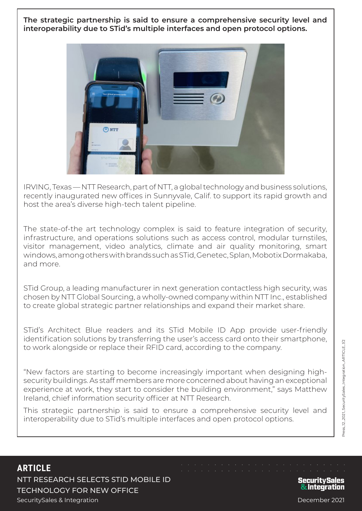**The strategic partnership is said to ensure a comprehensive security level and interoperability due to STid's multiple interfaces and open protocol options.**



IRVING, Texas — NTT Research, part of NTT, a global technology and business solutions, recently inaugurated new offices in Sunnyvale, Calif. to support its rapid growth and host the area's diverse high-tech talent pipeline.

The state-of-the art technology complex is said to feature integration of security, infrastructure, and operations solutions such as access control, modular turnstiles, visitor management, video analytics, climate and air quality monitoring, smart windows, among others with brands such as STid, Genetec, Splan, Mobotix Dormakaba, and more.

STid Group, a leading manufacturer in next generation contactless high security, was chosen by NTT Global Sourcing, a wholly-owned company within NTT Inc., established to create global strategic partner relationships and expand their market share.

STid's Architect Blue readers and its STid Mobile ID App provide user-friendly identification solutions by transferring the user's access card onto their smartphone, to work alongside or replace their RFID card, according to the company.

"New factors are starting to become increasingly important when designing highsecurity buildings. As staff members are more concerned about having an exceptional experience at work, they start to consider the building environment," says Matthew Ireland, chief information security officer at NTT Research.

This strategic partnership is said to ensure a comprehensive security level and interoperability due to STid's multiple interfaces and open protocol options.

## **ARTICLE**

NTT RESEARCH SELECTS STID MOBILE ID TECHNOLOGY FOR NEW OFFICE SecuritySales & Integration December 2021

## **Security Sales** & Integration